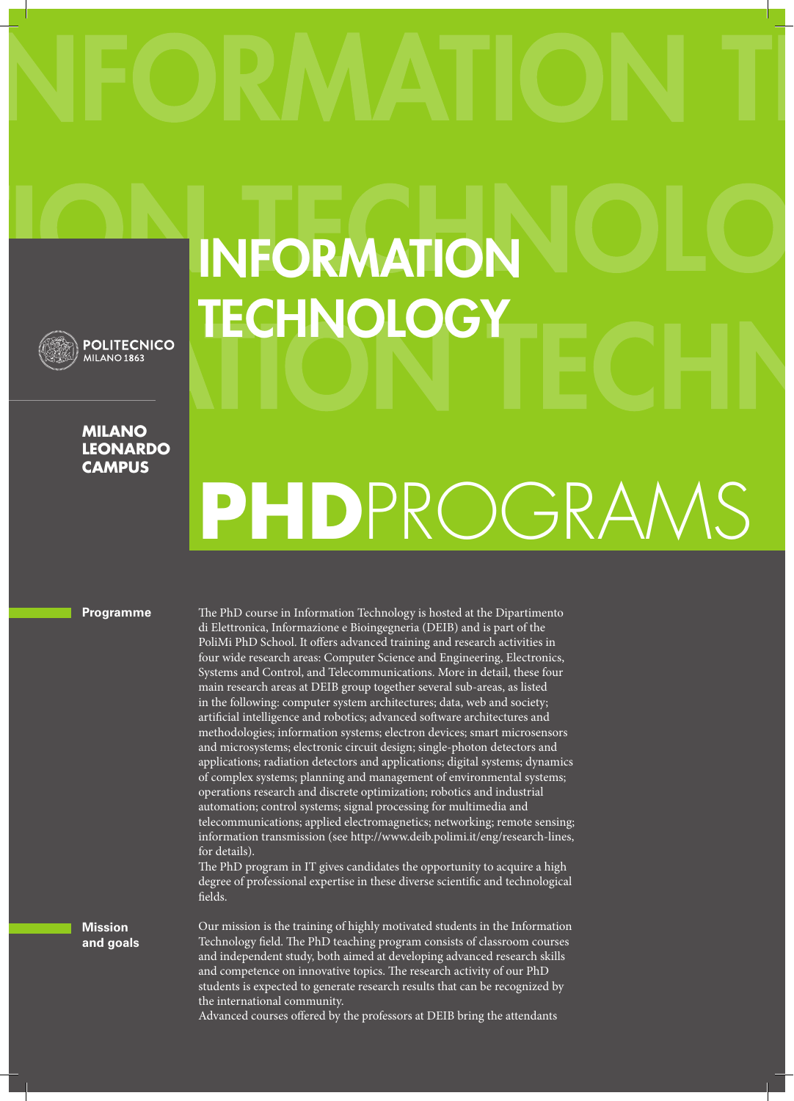## INFORMATION **TECHNOLOGY**

**MILANO LEONARDO CAMPUS**

**POLITECNICO MILANO 1863** 

## **PHD**PROGRAMS

**Programme**

The PhD course in Information Technology is hosted at the Dipartimento di Elettronica, Informazione e Bioingegneria (DEIB) and is part of the PoliMi PhD School. It offers advanced training and research activities in four wide research areas: Computer Science and Engineering, Electronics, Systems and Control, and Telecommunications. More in detail, these four main research areas at DEIB group together several sub-areas, as listed in the following: computer system architectures; data, web and society; artificial intelligence and robotics; advanced software architectures and methodologies; information systems; electron devices; smart microsensors and microsystems; electronic circuit design; single-photon detectors and applications; radiation detectors and applications; digital systems; dynamics of complex systems; planning and management of environmental systems; operations research and discrete optimization; robotics and industrial automation; control systems; signal processing for multimedia and telecommunications; applied electromagnetics; networking; remote sensing; information transmission (see http://www.deib.polimi.it/eng/research-lines, for details).

The PhD program in IT gives candidates the opportunity to acquire a high degree of professional expertise in these diverse scientific and technological fields.

Our mission is the training of highly motivated students in the Information Technology field. The PhD teaching program consists of classroom courses and independent study, both aimed at developing advanced research skills and competence on innovative topics. The research activity of our PhD students is expected to generate research results that can be recognized by the international community.

Advanced courses offered by the professors at DEIB bring the attendants

**Mission and goals**